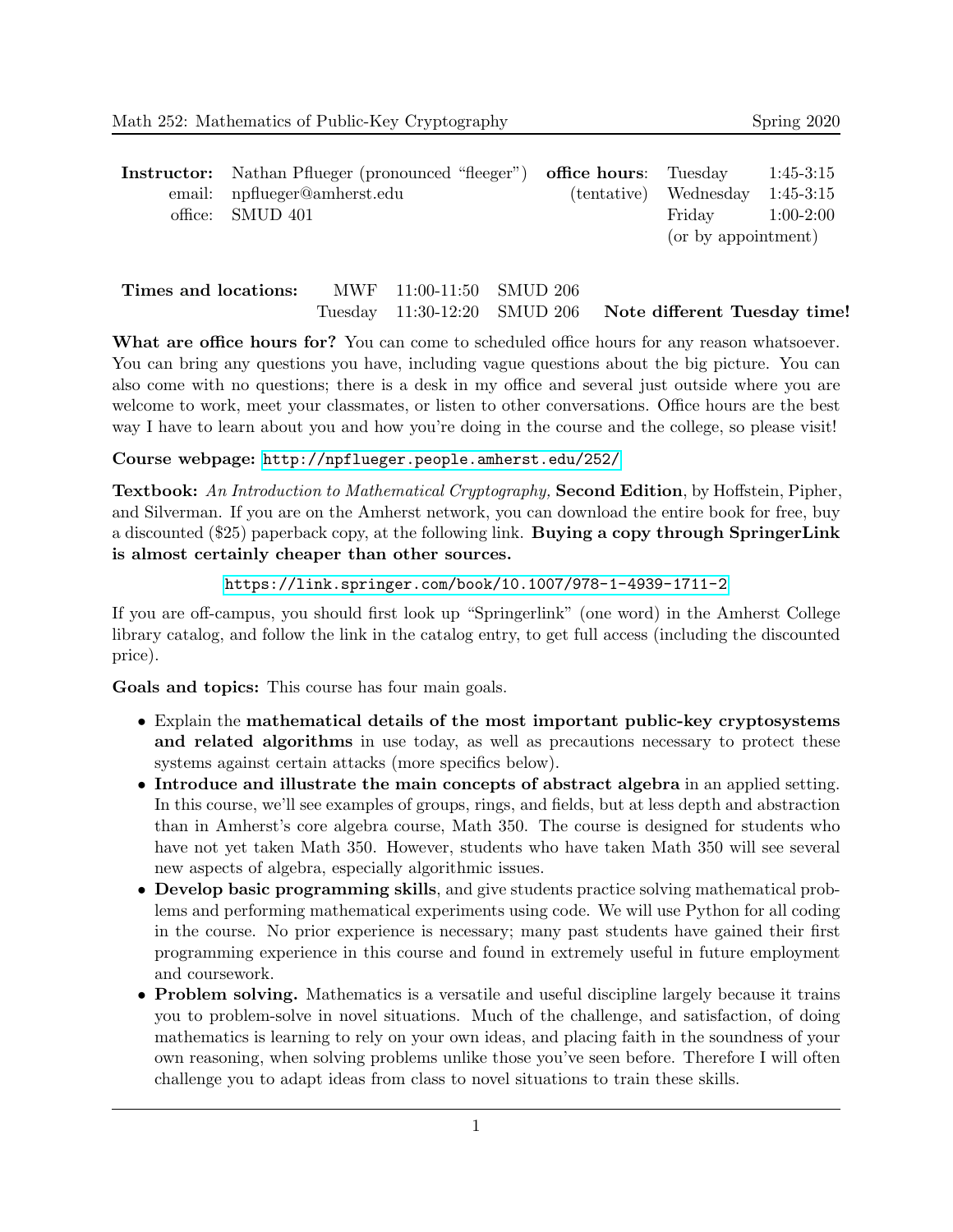| <b>Instructor:</b> Nathan Pflueger (pronounced "fleeger") <b>office hours</b> : Tuesday |                                     | $1:45-3:15$ |
|-----------------------------------------------------------------------------------------|-------------------------------------|-------------|
| email: npflueger@amherst.edu                                                            | $(tentative)$ Wednesday $1:45-3:15$ |             |
| office: SMUD 401                                                                        | Friday $1:00-2:00$                  |             |
|                                                                                         | (or by appointment)                 |             |

| Times and locations: | MWF 11:00-11:50 SMUD 206 |                                                           |  |
|----------------------|--------------------------|-----------------------------------------------------------|--|
|                      |                          | Tuesday 11:30-12:20 SMUD 206 Note different Tuesday time! |  |

What are office hours for? You can come to scheduled office hours for any reason whatsoever. You can bring any questions you have, including vague questions about the big picture. You can also come with no questions; there is a desk in my office and several just outside where you are welcome to work, meet your classmates, or listen to other conversations. Office hours are the best way I have to learn about you and how you're doing in the course and the college, so please visit!

Course webpage: <http://npflueger.people.amherst.edu/252/>

**Textbook:** An Introduction to Mathematical Cryptography, **Second Edition**, by Hoffstein, Pipher, and Silverman. If you are on the Amherst network, you can download the entire book for free, buy a discounted (\$25) paperback copy, at the following link. Buying a copy through SpringerLink is almost certainly cheaper than other sources.

<https://link.springer.com/book/10.1007/978-1-4939-1711-2>

If you are off-campus, you should first look up "Springerlink" (one word) in the Amherst College library catalog, and follow the link in the catalog entry, to get full access (including the discounted price).

Goals and topics: This course has four main goals.

- Explain the mathematical details of the most important public-key cryptosystems and related algorithms in use today, as well as precautions necessary to protect these systems against certain attacks (more specifics below).
- Introduce and illustrate the main concepts of abstract algebra in an applied setting. In this course, we'll see examples of groups, rings, and fields, but at less depth and abstraction than in Amherst's core algebra course, Math 350. The course is designed for students who have not yet taken Math 350. However, students who have taken Math 350 will see several new aspects of algebra, especially algorithmic issues.
- Develop basic programming skills, and give students practice solving mathematical problems and performing mathematical experiments using code. We will use Python for all coding in the course. No prior experience is necessary; many past students have gained their first programming experience in this course and found in extremely useful in future employment and coursework.
- Problem solving. Mathematics is a versatile and useful discipline largely because it trains you to problem-solve in novel situations. Much of the challenge, and satisfaction, of doing mathematics is learning to rely on your own ideas, and placing faith in the soundness of your own reasoning, when solving problems unlike those you've seen before. Therefore I will often challenge you to adapt ideas from class to novel situations to train these skills.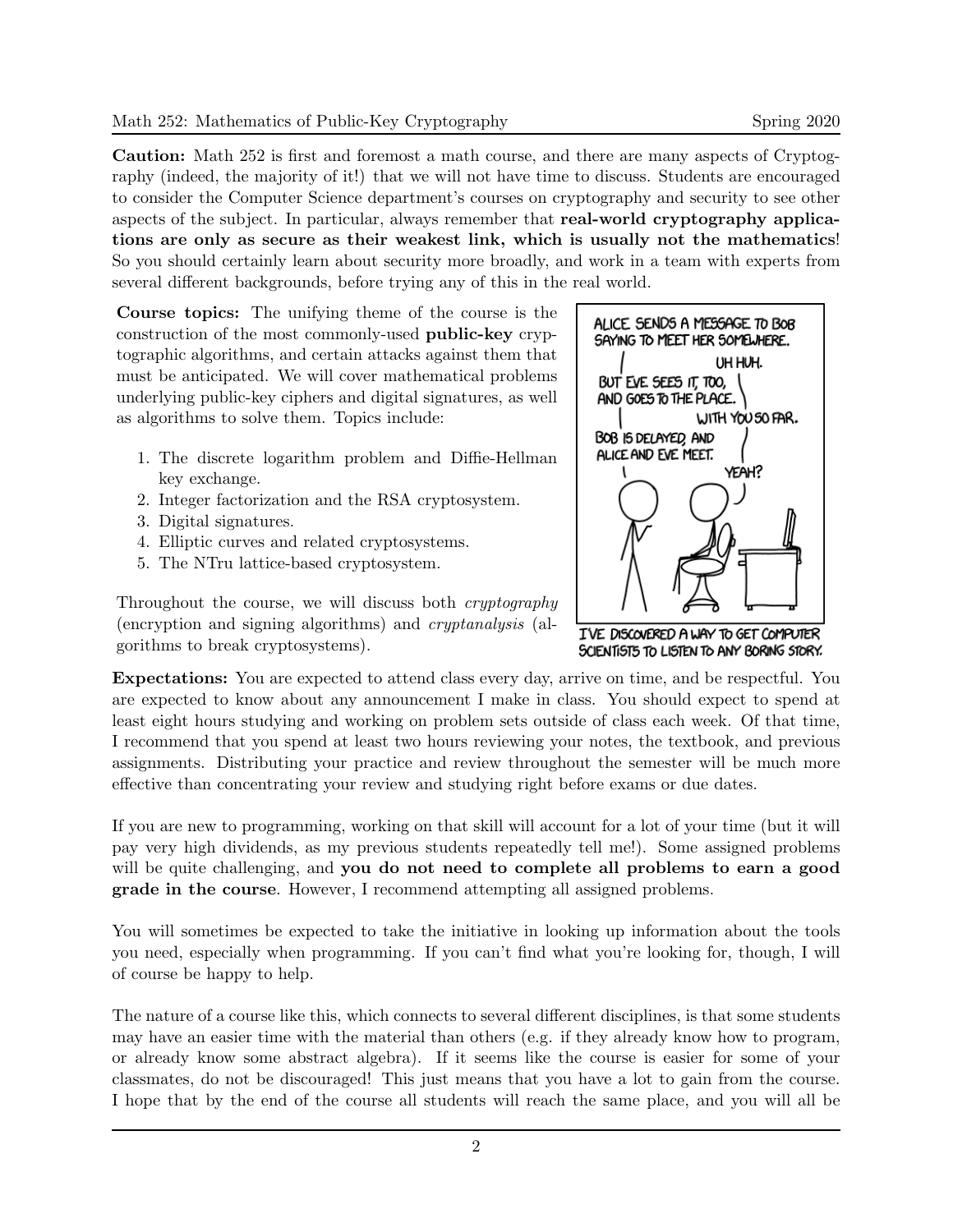Caution: Math 252 is first and foremost a math course, and there are many aspects of Cryptography (indeed, the majority of it!) that we will not have time to discuss. Students are encouraged to consider the Computer Science department's courses on cryptography and security to see other aspects of the subject. In particular, always remember that real-world cryptography applications are only as secure as their weakest link, which is usually not the mathematics! So you should certainly learn about security more broadly, and work in a team with experts from several different backgrounds, before trying any of this in the real world.

Course topics: The unifying theme of the course is the construction of the most commonly-used public-key cryptographic algorithms, and certain attacks against them that must be anticipated. We will cover mathematical problems underlying public-key ciphers and digital signatures, as well as algorithms to solve them. Topics include:

- 1. The discrete logarithm problem and Diffie-Hellman key exchange.
- 2. Integer factorization and the RSA cryptosystem.
- 3. Digital signatures.
- 4. Elliptic curves and related cryptosystems.
- 5. The NTru lattice-based cryptosystem.

Throughout the course, we will discuss both cryptography (encryption and signing algorithms) and cryptanalysis (algorithms to break cryptosystems).



I'VE DISCOVERED A WAY TO GET COMPUTER SCIENTISTS TO LISTEN TO ANY BORING STORY.

Expectations: You are expected to attend class every day, arrive on time, and be respectful. You are expected to know about any announcement I make in class. You should expect to spend at least eight hours studying and working on problem sets outside of class each week. Of that time, I recommend that you spend at least two hours reviewing your notes, the textbook, and previous assignments. Distributing your practice and review throughout the semester will be much more effective than concentrating your review and studying right before exams or due dates.

If you are new to programming, working on that skill will account for a lot of your time (but it will pay very high dividends, as my previous students repeatedly tell me!). Some assigned problems will be quite challenging, and **you do not need to complete all problems to earn a good** grade in the course. However, I recommend attempting all assigned problems.

You will sometimes be expected to take the initiative in looking up information about the tools you need, especially when programming. If you can't find what you're looking for, though, I will of course be happy to help.

The nature of a course like this, which connects to several different disciplines, is that some students may have an easier time with the material than others (e.g. if they already know how to program, or already know some abstract algebra). If it seems like the course is easier for some of your classmates, do not be discouraged! This just means that you have a lot to gain from the course. I hope that by the end of the course all students will reach the same place, and you will all be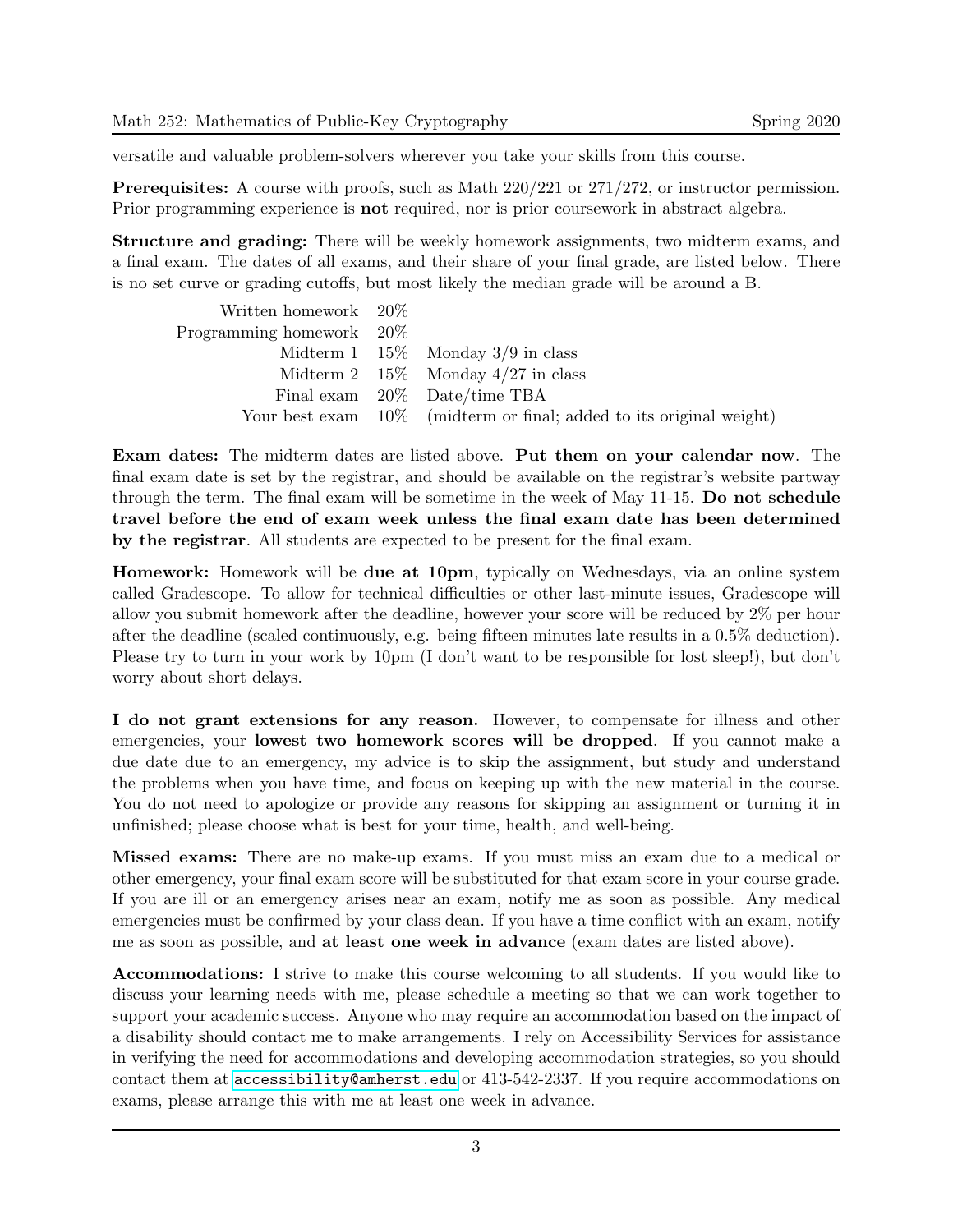versatile and valuable problem-solvers wherever you take your skills from this course.

Prerequisites: A course with proofs, such as Math 220/221 or 271/272, or instructor permission. Prior programming experience is **not** required, nor is prior coursework in abstract algebra.

Structure and grading: There will be weekly homework assignments, two midterm exams, and a final exam. The dates of all exams, and their share of your final grade, are listed below. There is no set curve or grading cutoffs, but most likely the median grade will be around a B.

| Written homework $20\%$     |                                                                     |
|-----------------------------|---------------------------------------------------------------------|
| Programming homework $20\%$ |                                                                     |
|                             | Midterm 1 $15\%$ Monday 3/9 in class                                |
|                             | Midterm 2 $15\%$ Monday 4/27 in class                               |
|                             | Final exam 20% Date/time TBA                                        |
|                             | Your best exam 10% (midterm or final; added to its original weight) |

Exam dates: The midterm dates are listed above. Put them on your calendar now. The final exam date is set by the registrar, and should be available on the registrar's website partway through the term. The final exam will be sometime in the week of May 11-15. Do not schedule travel before the end of exam week unless the final exam date has been determined by the registrar. All students are expected to be present for the final exam.

Homework: Homework will be due at 10pm, typically on Wednesdays, via an online system called Gradescope. To allow for technical difficulties or other last-minute issues, Gradescope will allow you submit homework after the deadline, however your score will be reduced by 2% per hour after the deadline (scaled continuously, e.g. being fifteen minutes late results in a 0.5% deduction). Please try to turn in your work by 10pm (I don't want to be responsible for lost sleep!), but don't worry about short delays.

I do not grant extensions for any reason. However, to compensate for illness and other emergencies, your lowest two homework scores will be dropped. If you cannot make a due date due to an emergency, my advice is to skip the assignment, but study and understand the problems when you have time, and focus on keeping up with the new material in the course. You do not need to apologize or provide any reasons for skipping an assignment or turning it in unfinished; please choose what is best for your time, health, and well-being.

Missed exams: There are no make-up exams. If you must miss an exam due to a medical or other emergency, your final exam score will be substituted for that exam score in your course grade. If you are ill or an emergency arises near an exam, notify me as soon as possible. Any medical emergencies must be confirmed by your class dean. If you have a time conflict with an exam, notify me as soon as possible, and at least one week in advance (exam dates are listed above).

Accommodations: I strive to make this course welcoming to all students. If you would like to discuss your learning needs with me, please schedule a meeting so that we can work together to support your academic success. Anyone who may require an accommodation based on the impact of a disability should contact me to make arrangements. I rely on Accessibility Services for assistance in verifying the need for accommodations and developing accommodation strategies, so you should contact them at <accessibility@amherst.edu> or 413-542-2337. If you require accommodations on exams, please arrange this with me at least one week in advance.